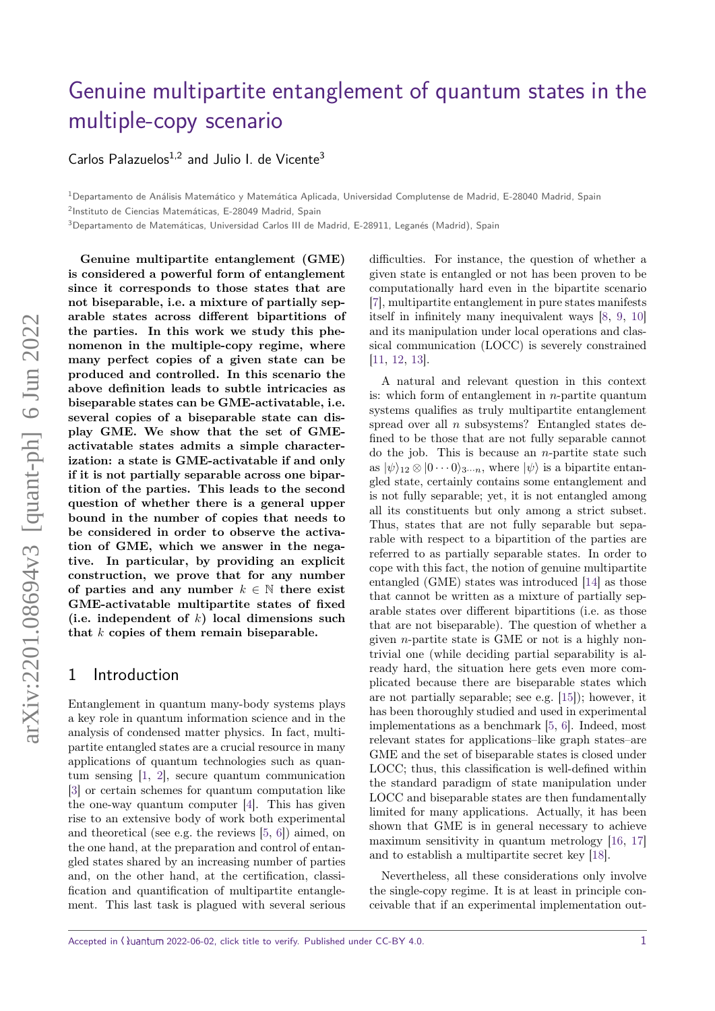# [Genuine multipartite entanglement of quantum states in the](https://quantum-journal.org/?s=Genuine%20multipartite%20entanglement%20of%20quantum%20states%20in%20the%20multiple-copy%20scenario&reason=title-click) [multiple-copy scenario](https://quantum-journal.org/?s=Genuine%20multipartite%20entanglement%20of%20quantum%20states%20in%20the%20multiple-copy%20scenario&reason=title-click)

Carlos Palazuelos $1,2$  and Julio I. de Vicente<sup>3</sup>

<sup>1</sup>Departamento de Análisis Matemático y Matemática Aplicada, Universidad Complutense de Madrid, E-28040 Madrid, Spain

2 Instituto de Ciencias Matemáticas, E-28049 Madrid, Spain

<sup>3</sup>Departamento de Matemáticas, Universidad Carlos III de Madrid, E-28911, Leganés (Madrid), Spain

**Genuine multipartite entanglement (GME) is considered a powerful form of entanglement since it corresponds to those states that are not biseparable, i.e. a mixture of partially separable states across different bipartitions of the parties. In this work we study this phenomenon in the multiple-copy regime, where many perfect copies of a given state can be produced and controlled. In this scenario the above definition leads to subtle intricacies as biseparable states can be GME-activatable, i.e. several copies of a biseparable state can display GME. We show that the set of GMEactivatable states admits a simple characterization: a state is GME-activatable if and only if it is not partially separable across one bipartition of the parties. This leads to the second question of whether there is a general upper bound in the number of copies that needs to be considered in order to observe the activation of GME, which we answer in the negative. In particular, by providing an explicit construction, we prove that for any number** of parties and any number  $k \in \mathbb{N}$  there exist **GME-activatable multipartite states of fixed (i.e. independent of** *k***) local dimensions such that** *k* **copies of them remain biseparable.**

#### 1 Introduction

Entanglement in quantum many-body systems plays a key role in quantum information science and in the analysis of condensed matter physics. In fact, multipartite entangled states are a crucial resource in many applications of quantum technologies such as quantum sensing [\[1,](#page-5-0) [2\]](#page-5-1), secure quantum communication [\[3\]](#page-5-2) or certain schemes for quantum computation like the one-way quantum computer [\[4\]](#page-5-3). This has given rise to an extensive body of work both experimental and theoretical (see e.g. the reviews [\[5,](#page-5-4) [6\]](#page-5-5)) aimed, on the one hand, at the preparation and control of entangled states shared by an increasing number of parties and, on the other hand, at the certification, classification and quantification of multipartite entanglement. This last task is plagued with several serious

difficulties. For instance, the question of whether a given state is entangled or not has been proven to be computationally hard even in the bipartite scenario [\[7\]](#page-5-6), multipartite entanglement in pure states manifests itself in infinitely many inequivalent ways [\[8,](#page-5-7) [9,](#page-5-8) [10\]](#page-5-9) and its manipulation under local operations and classical communication (LOCC) is severely constrained [\[11,](#page-5-10) [12,](#page-5-11) [13\]](#page-5-12).

A natural and relevant question in this context is: which form of entanglement in *n*-partite quantum systems qualifies as truly multipartite entanglement spread over all *n* subsystems? Entangled states defined to be those that are not fully separable cannot do the job. This is because an *n*-partite state such as  $|\psi\rangle_{12} \otimes |0 \cdots 0\rangle_{3\cdots n}$ , where  $|\psi\rangle$  is a bipartite entangled state, certainly contains some entanglement and is not fully separable; yet, it is not entangled among all its constituents but only among a strict subset. Thus, states that are not fully separable but separable with respect to a bipartition of the parties are referred to as partially separable states. In order to cope with this fact, the notion of genuine multipartite entangled (GME) states was introduced [\[14\]](#page-5-13) as those that cannot be written as a mixture of partially separable states over different bipartitions (i.e. as those that are not biseparable). The question of whether a given *n*-partite state is GME or not is a highly nontrivial one (while deciding partial separability is already hard, the situation here gets even more complicated because there are biseparable states which are not partially separable; see e.g. [\[15\]](#page-5-14)); however, it has been thoroughly studied and used in experimental implementations as a benchmark [\[5,](#page-5-4) [6\]](#page-5-5). Indeed, most relevant states for applications–like graph states–are GME and the set of biseparable states is closed under LOCC; thus, this classification is well-defined within the standard paradigm of state manipulation under LOCC and biseparable states are then fundamentally limited for many applications. Actually, it has been shown that GME is in general necessary to achieve maximum sensitivity in quantum metrology [\[16,](#page-5-15) [17\]](#page-5-16) and to establish a multipartite secret key [\[18\]](#page-6-0).

Nevertheless, all these considerations only involve the single-copy regime. It is at least in principle conceivable that if an experimental implementation out-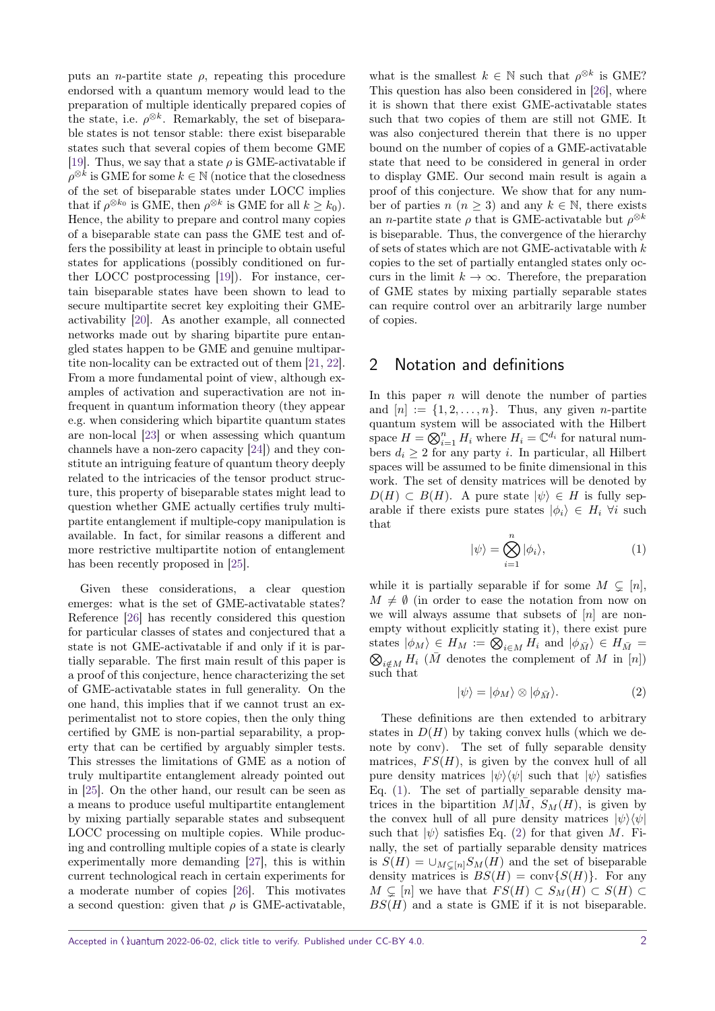puts an *n*-partite state  $\rho$ , repeating this procedure endorsed with a quantum memory would lead to the preparation of multiple identically prepared copies of the state, i.e.  $\rho^{\otimes k}$ . Remarkably, the set of biseparable states is not tensor stable: there exist biseparable states such that several copies of them become GME [\[19\]](#page-6-1). Thus, we say that a state  $\rho$  is GME-activatable if  $\rho^{\otimes k}$  is GME for some  $k \in \mathbb{N}$  (notice that the closedness of the set of biseparable states under LOCC implies that if  $\rho^{\otimes k_0}$  is GME, then  $\rho^{\otimes k}$  is GME for all  $k \geq k_0$ ). Hence, the ability to prepare and control many copies of a biseparable state can pass the GME test and offers the possibility at least in principle to obtain useful states for applications (possibly conditioned on further LOCC postprocessing [\[19\]](#page-6-1)). For instance, certain biseparable states have been shown to lead to secure multipartite secret key exploiting their GMEactivability [\[20\]](#page-6-2). As another example, all connected networks made out by sharing bipartite pure entangled states happen to be GME and genuine multipartite non-locality can be extracted out of them [\[21,](#page-6-3) [22\]](#page-6-4). From a more fundamental point of view, although examples of activation and superactivation are not infrequent in quantum information theory (they appear e.g. when considering which bipartite quantum states are non-local [\[23\]](#page-6-5) or when assessing which quantum channels have a non-zero capacity [\[24\]](#page-6-6)) and they constitute an intriguing feature of quantum theory deeply related to the intricacies of the tensor product structure, this property of biseparable states might lead to question whether GME actually certifies truly multipartite entanglement if multiple-copy manipulation is available. In fact, for similar reasons a different and more restrictive multipartite notion of entanglement has been recently proposed in [\[25\]](#page-6-7).

Given these considerations, a clear question emerges: what is the set of GME-activatable states? Reference [\[26\]](#page-6-8) has recently considered this question for particular classes of states and conjectured that a state is not GME-activatable if and only if it is partially separable. The first main result of this paper is a proof of this conjecture, hence characterizing the set of GME-activatable states in full generality. On the one hand, this implies that if we cannot trust an experimentalist not to store copies, then the only thing certified by GME is non-partial separability, a property that can be certified by arguably simpler tests. This stresses the limitations of GME as a notion of truly multipartite entanglement already pointed out in [\[25\]](#page-6-7). On the other hand, our result can be seen as a means to produce useful multipartite entanglement by mixing partially separable states and subsequent LOCC processing on multiple copies. While producing and controlling multiple copies of a state is clearly experimentally more demanding [\[27\]](#page-6-9), this is within current technological reach in certain experiments for a moderate number of copies [\[26\]](#page-6-8). This motivates a second question: given that  $\rho$  is GME-activatable,

what is the smallest  $k \in \mathbb{N}$  such that  $\rho^{\otimes k}$  is GME? This question has also been considered in [\[26\]](#page-6-8), where it is shown that there exist GME-activatable states such that two copies of them are still not GME. It was also conjectured therein that there is no upper bound on the number of copies of a GME-activatable state that need to be considered in general in order to display GME. Our second main result is again a proof of this conjecture. We show that for any number of parties *n*  $(n \geq 3)$  and any  $k \in \mathbb{N}$ , there exists an *n*-partite state  $\rho$  that is GME-activatable but  $\rho^{\otimes k}$ is biseparable. Thus, the convergence of the hierarchy of sets of states which are not GME-activatable with *k* copies to the set of partially entangled states only occurs in the limit  $k \to \infty$ . Therefore, the preparation of GME states by mixing partially separable states can require control over an arbitrarily large number of copies.

### 2 Notation and definitions

In this paper *n* will denote the number of parties and  $[n] := \{1, 2, \ldots, n\}$ . Thus, any given *n*-partite quantum system will be associated with the Hilbert space  $H = \bigotimes_{i=1}^{n} H_i$  where  $H_i = \mathbb{C}^{d_i}$  for natural numbers  $d_i \geq 2$  for any party *i*. In particular, all Hilbert spaces will be assumed to be finite dimensional in this work. The set of density matrices will be denoted by  $D(H) \subset B(H)$ . A pure state  $|\psi\rangle \in H$  is fully separable if there exists pure states  $|\phi_i\rangle \in H_i$   $\forall i$  such that

<span id="page-1-0"></span>
$$
|\psi\rangle = \bigotimes_{i=1}^{n} |\phi_i\rangle, \tag{1}
$$

while it is partially separable if for some  $M \subsetneq [n]$ ,  $M \neq \emptyset$  (in order to ease the notation from now on we will always assume that subsets of [*n*] are nonempty without explicitly stating it), there exist pure states  $|\phi_M\rangle \in H_M := \bigotimes_{i \in M} H_i$  and  $|\phi_{\bar{M}}\rangle \in H_{\bar{M}}$  $\bigotimes_{i \notin M} H_i$  ( $\overline{M}$  denotes the complement of  $M$  in  $[n]$ ) such that

<span id="page-1-1"></span>
$$
|\psi\rangle = |\phi_M\rangle \otimes |\phi_{\bar{M}}\rangle. \tag{2}
$$

These definitions are then extended to arbitrary states in  $D(H)$  by taking convex hulls (which we denote by conv). The set of fully separable density matrices,  $FS(H)$ , is given by the convex hull of all pure density matrices  $|\psi\rangle\langle\psi|$  such that  $|\psi\rangle$  satisfies Eq. [\(1\)](#page-1-0). The set of partially separable density matrices in the bipartition  $M/M$ ,  $S_M(H)$ , is given by the convex hull of all pure density matrices  $|\psi\rangle\langle\psi|$ such that  $|\psi\rangle$  satisfies Eq. [\(2\)](#page-1-1) for that given *M*. Finally, the set of partially separable density matrices is  $S(H) = \bigcup_{M \subseteq [n]} S_M(H)$  and the set of biseparable density matrices is  $BS(H) = \text{conv}\{S(H)\}.$  For any  $M \subseteq [n]$  we have that  $FS(H) \subset S_M(H) \subset S(H)$ *BS*(*H*) and a state is GME if it is not biseparable.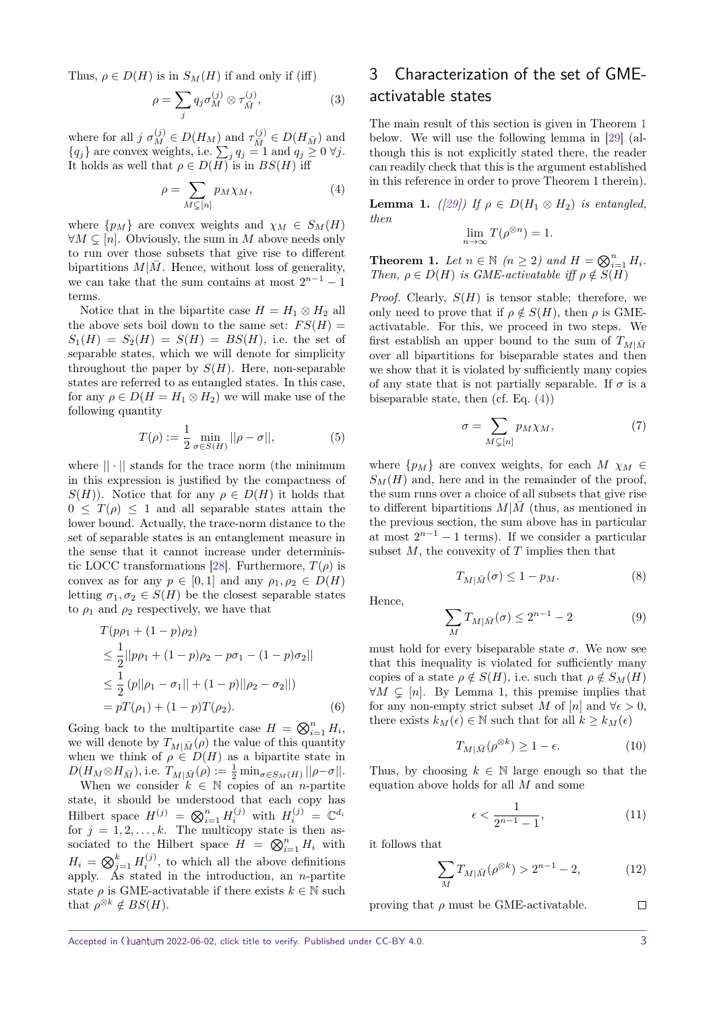Thus,  $\rho \in D(H)$  is in  $S_M(H)$  if and only if (iff)

$$
\rho = \sum_{j} q_j \sigma_M^{(j)} \otimes \tau_{\bar{M}}^{(j)},\tag{3}
$$

where for all  $j \sigma_M^{(j)} \in D(H_M)$  and  $\tau_{\overline{M}}^{(j)} \in D(H_{\overline{M}})$  and  ${q_j}$  are convex weights, i.e.  $\sum_j q_j = 1$  and  $q_j \geq 0$   $\forall j$ . It holds as well that  $\rho \in D(H)$  is in  $BS(H)$  iff

<span id="page-2-1"></span>
$$
\rho = \sum_{M \subsetneq [n]} p_M \chi_M,\tag{4}
$$

where  $\{p_M\}$  are convex weights and  $\chi_M \in S_M(H)$  $\forall M \subseteq [n]$ . Obviously, the sum in *M* above needs only to run over those subsets that give rise to different bipartitions  $M|\bar{M}$ . Hence, without loss of generality, we can take that the sum contains at most  $2^{n-1} - 1$ terms.

Notice that in the bipartite case  $H = H_1 \otimes H_2$  all the above sets boil down to the same set:  $FS(H)$  =  $S_1(H) = S_2(H) = S(H) = BS(H)$ , i.e. the set of separable states, which we will denote for simplicity throughout the paper by  $S(H)$ . Here, non-separable states are referred to as entangled states. In this case, for any  $\rho \in D(H = H_1 \otimes H_2)$  we will make use of the following quantity

$$
T(\rho) := \frac{1}{2} \min_{\sigma \in S(H)} ||\rho - \sigma||, \tag{5}
$$

where  $|| \cdot ||$  stands for the trace norm (the minimum in this expression is justified by the compactness of *S*(*H*)). Notice that for any  $\rho \in D(H)$  it holds that  $0 \leq T(\rho) \leq 1$  and all separable states attain the lower bound. Actually, the trace-norm distance to the set of separable states is an entanglement measure in the sense that it cannot increase under determinis-tic LOCC transformations [\[28\]](#page-6-10). Furthermore,  $T(\rho)$  is convex as for any  $p \in [0, 1]$  and any  $\rho_1, \rho_2 \in D(H)$ letting  $\sigma_1, \sigma_2 \in S(H)$  be the closest separable states to  $\rho_1$  and  $\rho_2$  respectively, we have that

$$
T(p\rho_1 + (1 - p)\rho_2)
$$
  
\n
$$
\leq \frac{1}{2} ||p\rho_1 + (1 - p)\rho_2 - p\sigma_1 - (1 - p)\sigma_2||
$$
  
\n
$$
\leq \frac{1}{2} (p||\rho_1 - \sigma_1|| + (1 - p)||\rho_2 - \sigma_2||)
$$
  
\n
$$
= pT(\rho_1) + (1 - p)T(\rho_2).
$$
 (6)

Going back to the multipartite case  $H = \bigotimes_{i=1}^{n} H_i$ , we will denote by  $T_{M|\bar{M}}(\rho)$  the value of this quantity when we think of  $\rho \in D(H)$  as a bipartite state in  $D(H_M \otimes H_{\bar{M}})$ , i.e.  $T_{M|\bar{M}}(\rho) := \frac{1}{2} \min_{\sigma \in S_M(H)} ||\rho - \sigma||.$ 

When we consider  $k \in \mathbb{N}$  copies of an *n*-partite state, it should be understood that each copy has Hilbert space  $H^{(j)} = \bigotimes_{i=1}^{n} H_i^{(j)}$  with  $H_i^{(j)} = \mathbb{C}^{d_i}$ for  $j = 1, 2, \ldots, k$ . The multicopy state is then associated to the Hilbert space  $H = \bigotimes_{i=1}^{n} H_i$  with  $H_i = \bigotimes_{j=1}^k H_i^{(j)}$ , to which all the above definitions apply. As stated in the introduction, an *n*-partite state  $\rho$  is GME-activatable if there exists  $k \in \mathbb{N}$  such that  $\rho^{\otimes k} \notin BS(H)$ .

# 3 Characterization of the set of GMEactivatable states

The main result of this section is given in Theorem [1](#page-2-0) below. We will use the following lemma in [\[29\]](#page-6-11) (although this is not explicitly stated there, the reader can readily check that this is the argument established in this reference in order to prove Theorem 1 therein).

**Lemma 1.** *(* $[29]$ ) If  $\rho \in D(H_1 \otimes H_2)$  *is entangled, then*

$$
\lim_{n \to \infty} T(\rho^{\otimes n}) = 1.
$$

<span id="page-2-0"></span>**Theorem 1.** Let  $n \in \mathbb{N}$   $(n \geq 2)$  and  $H = \bigotimes_{i=1}^{n} H_i$ . *Then,*  $\rho \in D(H)$  *is GME-activatable iff*  $\rho \notin S(H)$ 

*Proof.* Clearly,  $S(H)$  is tensor stable; therefore, we only need to prove that if  $\rho \notin S(H)$ , then  $\rho$  is GMEactivatable. For this, we proceed in two steps. We first establish an upper bound to the sum of  $T_{M|\bar{M}}$ over all bipartitions for biseparable states and then we show that it is violated by sufficiently many copies of any state that is not partially separable. If  $\sigma$  is a biseparable state, then  $(cf. Eq. (4))$  $(cf. Eq. (4))$  $(cf. Eq. (4))$ 

$$
\sigma = \sum_{M \subsetneq [n]} p_M \chi_M,\tag{7}
$$

where  $\{p_M\}$  are convex weights, for each  $M \chi_M \in$  $S_M(H)$  and, here and in the remainder of the proof, the sum runs over a choice of all subsets that give rise to different bipartitions  $M|\bar{M}|$  (thus, as mentioned in the previous section, the sum above has in particular at most  $2^{n-1} - 1$  terms). If we consider a particular subset *M*, the convexity of *T* implies then that

$$
T_{M|\bar{M}}(\sigma) \le 1 - p_M. \tag{8}
$$

Hence,

$$
\sum_{M} T_{M|\bar{M}}(\sigma) \le 2^{n-1} - 2 \tag{9}
$$

must hold for every biseparable state  $\sigma$ . We now see that this inequality is violated for sufficiently many copies of a state  $\rho \notin S(H)$ , i.e. such that  $\rho \notin S_M(H)$  $\forall M \subseteq [n]$ . By Lemma 1, this premise implies that for any non-empty strict subset *M* of  $[n]$  and  $\forall \epsilon > 0$ , there exists  $k_M(\epsilon) \in \mathbb{N}$  such that for all  $k \geq k_M(\epsilon)$ 

$$
T_{M|\bar{M}}(\rho^{\otimes k}) \ge 1 - \epsilon. \tag{10}
$$

Thus, by choosing  $k \in \mathbb{N}$  large enough so that the equation above holds for all *M* and some

$$
\epsilon < \frac{1}{2^{n-1} - 1},\tag{11}
$$

it follows that

$$
\sum_{M} T_{M|\bar{M}}(\rho^{\otimes k}) > 2^{n-1} - 2, \tag{12}
$$

 $\Box$ proving that  $\rho$  must be GME-activatable.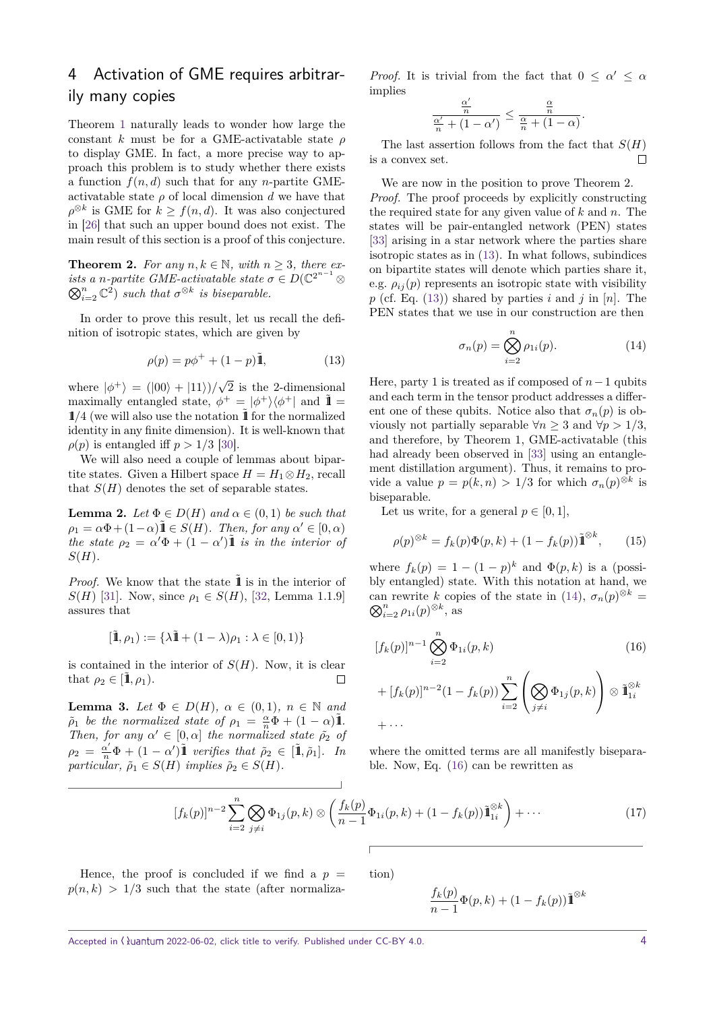# 4 Activation of GME requires arbitrarily many copies

Theorem [1](#page-2-0) naturally leads to wonder how large the constant *k* must be for a GME-activatable state *ρ* to display GME. In fact, a more precise way to approach this problem is to study whether there exists a function  $f(n, d)$  such that for any *n*-partite GMEactivatable state  $\rho$  of local dimension  $d$  we have that  $\rho^{\otimes k}$  is GME for  $k \geq f(n, d)$ . It was also conjectured in [\[26\]](#page-6-8) that such an upper bound does not exist. The main result of this section is a proof of this conjecture.

**Theorem 2.** For any  $n, k \in \mathbb{N}$ , with  $n \geq 3$ , there ex*ists a n-partite GME-activatable state*  $\sigma \in D(\mathbb{C}^{2^{n-1}} \otimes$  $\bigotimes_{i=2}^{n} \mathbb{C}^{\hat{2}}$  *such that*  $\sigma^{\otimes k}$  *is biseparable.* 

In order to prove this result, let us recall the definition of isotropic states, which are given by

<span id="page-3-0"></span>
$$
\rho(p) = p\phi^+ + (1 - p)\tilde{\mathbf{1}},\tag{13}
$$

where  $|\phi^+\rangle = (|00\rangle + |11\rangle)/\sqrt{\ }$ 2 is the 2-dimensional maximally entangled state,  $\phi^+ = |\phi^+\rangle\langle\phi^+|$  and  $\tilde{\mathbb{1}}$  $1/4$  (we will also use the notation  $\tilde{1}$  for the normalized identity in any finite dimension). It is well-known that  $\rho(p)$  is entangled iff  $p > 1/3$  [\[30\]](#page-6-12).

We will also need a couple of lemmas about bipartite states. Given a Hilbert space  $H = H_1 \otimes H_2$ , recall that  $S(H)$  denotes the set of separable states.

<span id="page-3-3"></span>**Lemma 2.** *Let*  $\Phi \in D(H)$  *and*  $\alpha \in (0,1)$  *be such that*  $\rho_1 = \alpha \Phi + (1 - \alpha) \mathbf{\tilde{1}} \in S(H)$ *. Then, for any*  $\alpha' \in [0, \alpha)$ *the state*  $\rho_2 = \alpha' \Phi + (1 - \alpha') \tilde{1}$  *is in the interior of S*(*H*)*.*

*Proof.* We know that the state **1** is in the interior of *S*(*H*) [\[31\]](#page-6-13). Now, since  $\rho_1 \in S(H)$ , [\[32,](#page-6-14) Lemma 1.1.9] assures that

$$
[\tilde{\mathbb{1}},\rho_1):=\{\lambda\tilde{\mathbb{1}}+(1-\lambda)\rho_1:\lambda\in[0,1)\}
$$

is contained in the interior of  $S(H)$ . Now, it is clear that  $\rho_2 \in [\tilde{\mathbf{1}}, \rho_1)$ .  $\Box$ 

<span id="page-3-4"></span>**Lemma 3.** *Let*  $\Phi \in D(H)$ *,*  $\alpha \in (0,1)$ *,*  $n \in \mathbb{N}$  *and*  $\tilde{\rho}_1$  *be the normalized state of*  $\rho_1 = \frac{\alpha}{n}\Phi + (1 - \alpha)\tilde{\mathbf{1}}$ *. Then, for any*  $\alpha' \in [0, \alpha]$  *the normalized state*  $\tilde{\rho}_2$  *of*  $\rho_2 = \frac{\alpha'}{n} \Phi + (1 - \alpha') \tilde{\mathbf{I}}$  *verifies that*  $\rho_2 \in [\tilde{\mathbf{I}}, \tilde{\rho}_1]$ *. In particular,*  $\tilde{\rho}_1 \in S(H)$  *implies*  $\tilde{\rho}_2 \in S(H)$ *.* 

*Proof.* It is trivial from the fact that  $0 \leq \alpha' \leq \alpha$ implies

$$
\frac{\frac{\alpha'}{n}}{\frac{\alpha'}{n}+(1-\alpha')}\leq\frac{\frac{\alpha}{n}}{\frac{\alpha}{n}+(1-\alpha)}.
$$

The last assertion follows from the fact that  $S(H)$ is a convex set.  $\Box$ 

We are now in the position to prove Theorem 2. *Proof.* The proof proceeds by explicitly constructing the required state for any given value of *k* and *n*. The states will be pair-entangled network (PEN) states [\[33\]](#page-6-15) arising in a star network where the parties share isotropic states as in [\(13\)](#page-3-0). In what follows, subindices on bipartite states will denote which parties share it, e.g.  $\rho_{ij}(p)$  represents an isotropic state with visibility  $p$  (cf. Eq. [\(13\)](#page-3-0)) shared by parties  $i$  and  $j$  in  $[n]$ . The PEN states that we use in our construction are then

<span id="page-3-1"></span>
$$
\sigma_n(p) = \bigotimes_{i=2}^n \rho_{1i}(p). \tag{14}
$$

Here, party 1 is treated as if composed of *n*−1 qubits and each term in the tensor product addresses a different one of these qubits. Notice also that  $\sigma_n(p)$  is obviously not partially separable  $\forall n \geq 3$  and  $\forall p > 1/3$ , and therefore, by Theorem 1, GME-activatable (this had already been observed in [\[33\]](#page-6-15) using an entanglement distillation argument). Thus, it remains to provide a value  $p = p(k, n) > 1/3$  for which  $\sigma_n(p)^{\otimes k}$  is biseparable.

Let us write, for a general  $p \in [0, 1]$ ,

$$
\rho(p)^{\otimes k} = f_k(p)\Phi(p,k) + (1 - f_k(p))\tilde{\mathbf{I}}^{\otimes k}, \qquad (15)
$$

where  $f_k(p) = 1 - (1 - p)^k$  and  $\Phi(p, k)$  is a (possibly entangled) state. With this notation at hand, we can rewrite *k* copies of the state in [\(14\)](#page-3-1),  $\sigma_n(p)^{\otimes k}$  $\bigotimes_{i=2}^{n} \rho_{1i}(p)^{\otimes k}$ , as

<span id="page-3-2"></span>
$$
[f_k(p)]^{n-1} \bigotimes_{i=2}^n \Phi_{1i}(p,k)
$$
\n
$$
+ [f_k(p)]^{n-2} (1 - f_k(p)) \sum_{i=2}^n \left( \bigotimes_{j \neq i} \Phi_{1j}(p,k) \right) \otimes \tilde{\mathbf{1}}_{1i}^{\otimes k}
$$
\n
$$
+ \cdots
$$
\n(16)

where the omitted terms are all manifestly biseparable. Now, Eq. [\(16\)](#page-3-2) can be rewritten as

$$
[f_k(p)]^{n-2} \sum_{i=2}^n \bigotimes_{j \neq i} \Phi_{1j}(p,k) \otimes \left(\frac{f_k(p)}{n-1} \Phi_{1i}(p,k) + (1 - f_k(p)) \tilde{\mathbf{1}}_{1i}^{\otimes k}\right) + \cdots
$$
 (17)

Hence, the proof is concluded if we find a  $p =$  $p(n, k) > 1/3$  such that the state (after normalization)

$$
\frac{f_k(p)}{n-1}\Phi(p,k) + (1 - f_k(p))\tilde{\mathbf{1}}^{\otimes k}
$$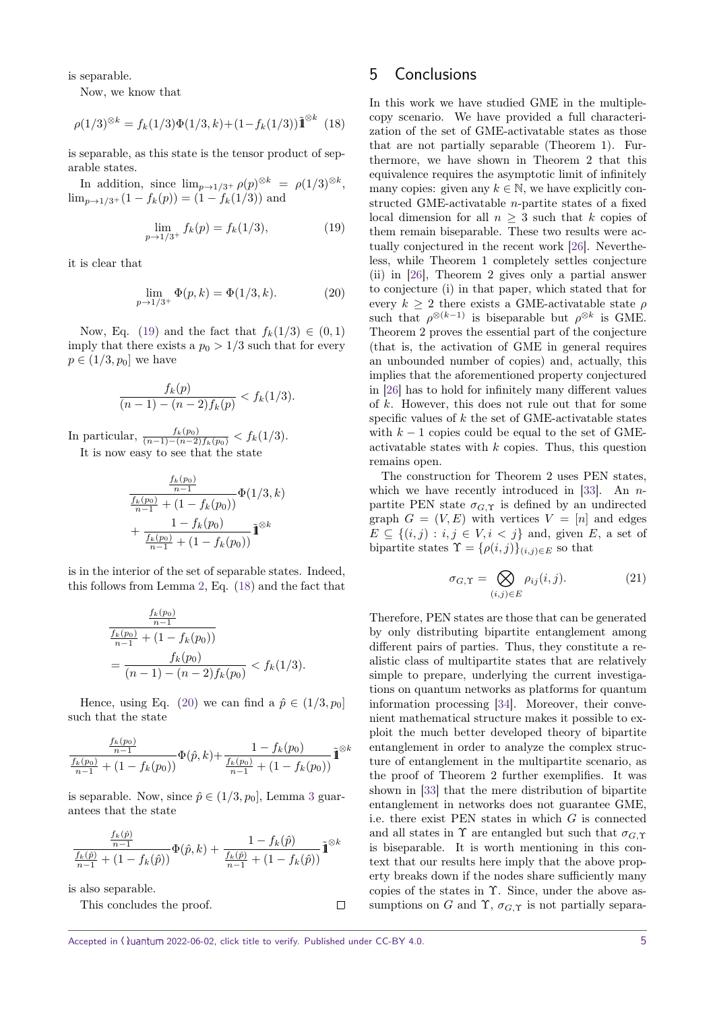is separable.

Now, we know that

<span id="page-4-1"></span>
$$
\rho(1/3)^{\otimes k} = f_k(1/3)\Phi(1/3, k) + (1 - f_k(1/3))\tilde{\mathbf{1}}^{\otimes k} \tag{18}
$$

is separable, as this state is the tensor product of separable states.

In addition, since  $\lim_{p\to 1/3^+} \rho(p)^{\otimes k} = \rho(1/3)^{\otimes k}$ ,  $\lim_{p\to 1/3^+}(1-f_k(p))=(1-f_k(1/3))$  and

<span id="page-4-2"></span>
$$
\lim_{p \to 1/3^+} f_k(p) = f_k(1/3),\tag{19}
$$

it is clear that

$$
\lim_{p \to 1/3^+} \Phi(p, k) = \Phi(1/3, k). \tag{20}
$$

Now, Eq. [\(19\)](#page-4-0) and the fact that  $f_k(1/3) \in (0, 1)$ imply that there exists a  $p_0 > 1/3$  such that for every  $p \in (1/3, p_0]$  we have

$$
\frac{f_k(p)}{(n-1)-(n-2)f_k(p)} < f_k(1/3).
$$

In particular,  $\frac{f_k(p_0)}{(n-1)-(n-2)f_k(p_0)} < f_k(1/3)$ . It is now easy to see that the state

$$
\frac{\frac{f_k(p_0)}{n-1}}{\frac{f_k(p_0)}{n-1} + (1 - f_k(p_0))} \Phi(1/3, k) + \frac{1 - f_k(p_0)}{\frac{f_k(p_0)}{n-1} + (1 - f_k(p_0))} \tilde{\mathbb{I}}^{\otimes k}
$$

is in the interior of the set of separable states. Indeed, this follows from Lemma [2,](#page-3-3) Eq. [\(18\)](#page-4-1) and the fact that

$$
\frac{\frac{f_k(p_0)}{n-1}}{\frac{f_k(p_0)}{n-1} + (1 - f_k(p_0))}
$$
\n
$$
= \frac{f_k(p_0)}{(n-1) - (n-2)f_k(p_0)} < f_k(1/3).
$$

Hence, using Eq. [\(20\)](#page-4-2) we can find a  $\hat{p} \in (1/3, p_0]$ such that the state

$$
\frac{\frac{f_{k}(p_{0})}{n-1}}{\frac{f_{k}(p_{0})}{n-1}+(1-f_{k}(p_{0}))}\Phi(\hat{p},k)+\frac{1-f_{k}(p_{0})}{\frac{f_{k}(p_{0})}{n-1}+(1-f_{k}(p_{0}))}\tilde{\rm 1\hspace{-0.9mm}1}^{\otimes k}
$$

is separable. Now, since  $\hat{p} \in (1/3, p_0]$  $\hat{p} \in (1/3, p_0]$  $\hat{p} \in (1/3, p_0]$ , Lemma 3 guarantees that the state

$$
\frac{\frac{f_k(\hat{p})}{n-1}}{\frac{f_k(\hat{p})}{n-1} + (1 - f_k(\hat{p}))} \Phi(\hat{p}, k) + \frac{1 - f_k(\hat{p})}{\frac{f_k(\hat{p})}{n-1} + (1 - f_k(\hat{p}))} \tilde{\mathbb{I}}^{\otimes k}
$$

is also separable.

This concludes the proof.

## 5 Conclusions

<span id="page-4-0"></span>In this work we have studied GME in the multiplecopy scenario. We have provided a full characterization of the set of GME-activatable states as those that are not partially separable (Theorem 1). Furthermore, we have shown in Theorem 2 that this equivalence requires the asymptotic limit of infinitely many copies: given any  $k \in \mathbb{N}$ , we have explicitly constructed GME-activatable *n*-partite states of a fixed local dimension for all  $n \geq 3$  such that *k* copies of them remain biseparable. These two results were actually conjectured in the recent work [\[26\]](#page-6-8). Nevertheless, while Theorem 1 completely settles conjecture (ii) in [\[26\]](#page-6-8), Theorem 2 gives only a partial answer to conjecture (i) in that paper, which stated that for every  $k \geq 2$  there exists a GME-activatable state  $\rho$ such that  $\rho^{\otimes (k-1)}$  is biseparable but  $\rho^{\otimes k}$  is GME. Theorem 2 proves the essential part of the conjecture (that is, the activation of GME in general requires an unbounded number of copies) and, actually, this implies that the aforementioned property conjectured in [\[26\]](#page-6-8) has to hold for infinitely many different values of *k*. However, this does not rule out that for some specific values of *k* the set of GME-activatable states with  $k-1$  copies could be equal to the set of GMEactivatable states with *k* copies. Thus, this question remains open.

The construction for Theorem 2 uses PEN states, which we have recently introduced in [\[33\]](#page-6-15). An *n*partite PEN state  $\sigma_{G,\Upsilon}$  is defined by an undirected graph  $G = (V, E)$  with vertices  $V = [n]$  and edges  $E \subseteq \{(i, j) : i, j \in V, i < j\}$  and, given *E*, a set of bipartite states  $\Upsilon = {\rho(i,j)}_{(i,j)\in E}$  so that

$$
\sigma_{G,\Upsilon} = \bigotimes_{(i,j)\in E} \rho_{ij}(i,j). \tag{21}
$$

Therefore, PEN states are those that can be generated by only distributing bipartite entanglement among different pairs of parties. Thus, they constitute a realistic class of multipartite states that are relatively simple to prepare, underlying the current investigations on quantum networks as platforms for quantum information processing [\[34\]](#page-6-16). Moreover, their convenient mathematical structure makes it possible to exploit the much better developed theory of bipartite entanglement in order to analyze the complex structure of entanglement in the multipartite scenario, as the proof of Theorem 2 further exemplifies. It was shown in [\[33\]](#page-6-15) that the mere distribution of bipartite entanglement in networks does not guarantee GME, i.e. there exist PEN states in which *G* is connected and all states in  $\Upsilon$  are entangled but such that  $\sigma_{G,\Upsilon}$ is biseparable. It is worth mentioning in this context that our results here imply that the above property breaks down if the nodes share sufficiently many copies of the states in Υ. Since, under the above assumptions on *G* and  $\Upsilon$ ,  $\sigma_{G,\Upsilon}$  is not partially separa-

 $\Box$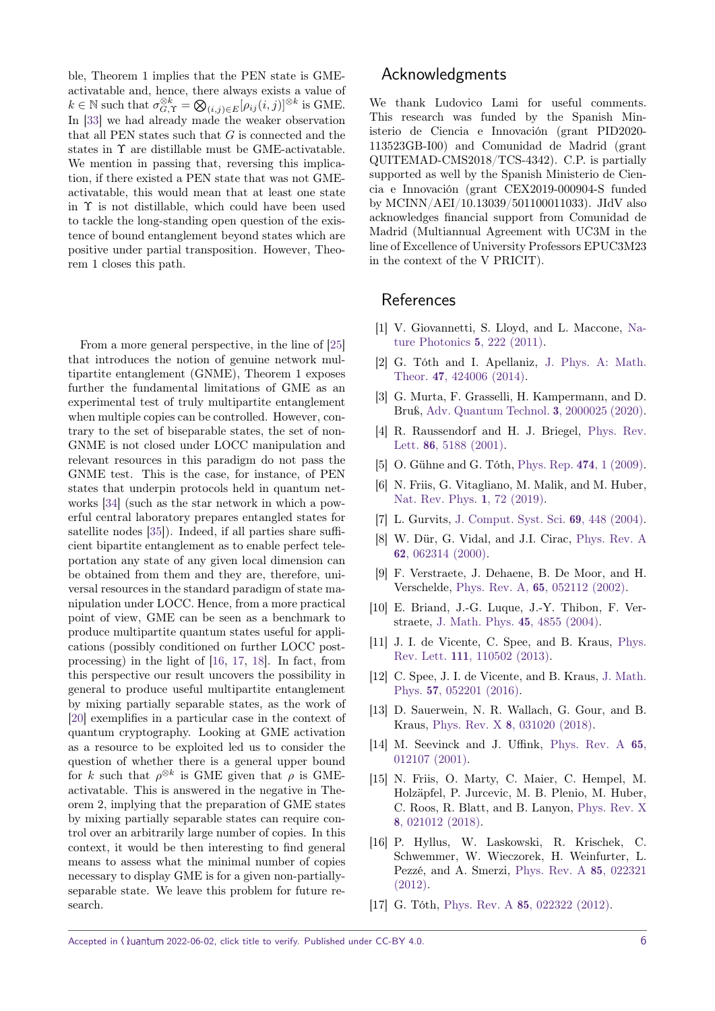ble, Theorem 1 implies that the PEN state is GMEactivatable and, hence, there always exists a value of  $k \in \mathbb{N}$  such that  $\sigma_{G,\Upsilon}^{\otimes k} = \bigotimes_{(i,j) \in E} [\rho_{ij}(i,j)]^{\otimes k}$  is GME. In [\[33\]](#page-6-15) we had already made the weaker observation that all PEN states such that *G* is connected and the states in Υ are distillable must be GME-activatable. We mention in passing that, reversing this implication, if there existed a PEN state that was not GMEactivatable, this would mean that at least one state in Υ is not distillable, which could have been used to tackle the long-standing open question of the existence of bound entanglement beyond states which are positive under partial transposition. However, Theorem 1 closes this path.

From a more general perspective, in the line of [\[25\]](#page-6-7) that introduces the notion of genuine network multipartite entanglement (GNME), Theorem 1 exposes further the fundamental limitations of GME as an experimental test of truly multipartite entanglement when multiple copies can be controlled. However, contrary to the set of biseparable states, the set of non-GNME is not closed under LOCC manipulation and relevant resources in this paradigm do not pass the GNME test. This is the case, for instance, of PEN states that underpin protocols held in quantum networks [\[34\]](#page-6-16) (such as the star network in which a powerful central laboratory prepares entangled states for satellite nodes [\[35\]](#page-6-17)). Indeed, if all parties share sufficient bipartite entanglement as to enable perfect teleportation any state of any given local dimension can be obtained from them and they are, therefore, universal resources in the standard paradigm of state manipulation under LOCC. Hence, from a more practical point of view, GME can be seen as a benchmark to produce multipartite quantum states useful for applications (possibly conditioned on further LOCC postprocessing) in the light of [\[16,](#page-5-15) [17,](#page-5-16) [18\]](#page-6-0). In fact, from this perspective our result uncovers the possibility in general to produce useful multipartite entanglement by mixing partially separable states, as the work of [\[20\]](#page-6-2) exemplifies in a particular case in the context of quantum cryptography. Looking at GME activation as a resource to be exploited led us to consider the question of whether there is a general upper bound for *k* such that  $\rho^{\otimes k}$  is GME given that  $\rho$  is GMEactivatable. This is answered in the negative in Theorem 2, implying that the preparation of GME states by mixing partially separable states can require control over an arbitrarily large number of copies. In this context, it would be then interesting to find general means to assess what the minimal number of copies necessary to display GME is for a given non-partiallyseparable state. We leave this problem for future research.

## Acknowledgments

We thank Ludovico Lami for useful comments. This research was funded by the Spanish Ministerio de Ciencia e Innovación (grant PID2020- 113523GB-I00) and Comunidad de Madrid (grant QUITEMAD-CMS2018/TCS-4342). C.P. is partially supported as well by the Spanish Ministerio de Ciencia e Innovación (grant CEX2019-000904-S funded by MCINN/AEI/10.13039/501100011033). JIdV also acknowledges financial support from Comunidad de Madrid (Multiannual Agreement with UC3M in the line of Excellence of University Professors EPUC3M23 in the context of the V PRICIT).

#### **References**

- <span id="page-5-0"></span>[1] V. Giovannetti, S. Lloyd, and L. Maccone, [Na](https://doi.org/10.1038/nphoton.2011.35)[ture Photonics](https://doi.org/10.1038/nphoton.2011.35) 5, 222 (2011).
- <span id="page-5-1"></span>[2] G. Tóth and I. Apellaniz, [J. Phys. A: Math.]( https://doi.org/10.1088/1751-8113/47/42/424006) Theor. 47[, 424006 \(2014\).]( https://doi.org/10.1088/1751-8113/47/42/424006)
- <span id="page-5-2"></span>[3] G. Murta, F. Grasselli, H. Kampermann, and D. Bruß, [Adv. Quantum Technol.]( https://doi.org/10.1002/qute.202000025) 3, 2000025 (2020).
- <span id="page-5-3"></span>[4] R. Raussendorf and H. J. Briegel, [Phys. Rev.](https://doi.org/10.1103/PhysRevLett.86.5188) Lett. 86[, 5188 \(2001\).](https://doi.org/10.1103/PhysRevLett.86.5188)
- <span id="page-5-4"></span>[5] O. Gühne and G. Tóth, [Phys. Rep.]( https://doi.org/10.1016/j.physrep.2009.02.004 ) 474, 1 (2009).
- <span id="page-5-5"></span>[6] N. Friis, G. Vitagliano, M. Malik, and M. Huber, [Nat. Rev. Phys.]( https://doi.org/10.1038/s42254-018-0003-5) 1, 72 (2019).
- <span id="page-5-6"></span>[7] L. Gurvits, [J. Comput. Syst. Sci.](https://doi.org/10.1016/j.jcss.2004.06.003) 69, 448 (2004).
- <span id="page-5-7"></span>[8] W. Dür, G. Vidal, and J.I. Cirac, [Phys. Rev. A](https://doi.org/10.1103/PhysRevA.62.062314) 62[, 062314 \(2000\).](https://doi.org/10.1103/PhysRevA.62.062314)
- <span id="page-5-8"></span>[9] F. Verstraete, J. Dehaene, B. De Moor, and H. Verschelde, Phys. Rev. A, 65[, 052112 \(2002\).](https://doi.org/10.1103/PhysRevA.65.052112)
- <span id="page-5-9"></span>[10] E. Briand, J.-G. Luque, J.-Y. Thibon, F. Verstraete, [J. Math. Phys.]( https://doi.org/10.1063/1.1809255) 45, 4855 (2004).
- <span id="page-5-10"></span>[11] J. I. de Vicente, C. Spee, and B. Kraus, [Phys.](https://doi.org/10.1103/PhysRevLett.111.110502) Rev. Lett. 111[, 110502 \(2013\).](https://doi.org/10.1103/PhysRevLett.111.110502)
- <span id="page-5-11"></span>[12] C. Spee, J. I. de Vicente, and B. Kraus, [J. Math.]( https://doi.org/10.1063/1.4946895) Phys. 57[, 052201 \(2016\).]( https://doi.org/10.1063/1.4946895)
- <span id="page-5-12"></span>[13] D. Sauerwein, N. R. Wallach, G. Gour, and B. Kraus, Phys. Rev. X 8[, 031020 \(2018\).](https://doi.org/10.1103/PhysRevX.8.031020)
- <span id="page-5-13"></span>[14] M. Seevinck and J. Uffink, [Phys. Rev. A](https://doi.org/10.1103/PhysRevA.65.012107) 65, [012107 \(2001\).](https://doi.org/10.1103/PhysRevA.65.012107)
- <span id="page-5-14"></span>[15] N. Friis, O. Marty, C. Maier, C. Hempel, M. Holzäpfel, P. Jurcevic, M. B. Plenio, M. Huber, C. Roos, R. Blatt, and B. Lanyon, [Phys. Rev. X](https://doi.org/10.1103/PhysRevX.8.021012) 8[, 021012 \(2018\).](https://doi.org/10.1103/PhysRevX.8.021012)
- <span id="page-5-15"></span>[16] P. Hyllus, W. Laskowski, R. Krischek, C. Schwemmer, W. Wieczorek, H. Weinfurter, L. Pezzé, and A. Smerzi, [Phys. Rev. A](https://doi.org/10.1103/PhysRevA.85.022321) 85, 022321 [\(2012\).](https://doi.org/10.1103/PhysRevA.85.022321)
- <span id="page-5-16"></span>[17] G. Tóth, Phys. Rev. A 85[, 022322 \(2012\).](https://doi.org/10.1103/PhysRevA.85.022322)